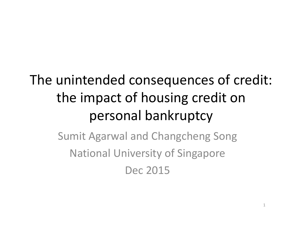# The unintended consequences of credit: the impact of housing credit on personal bankruptcy

Sumit Agarwal and Changcheng Song National University of Singapore Dec 2015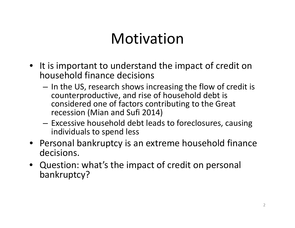## Motivation

- It is important to understand the impact of credit on household finance decisions
	- $-$  In the US, research shows increasing the flow of credit is counterproductive, and rise of household debt is considered one of factors contributing to the Great recession (Mian and Sufi 2014)
	- – $-$  Excessive household debt leads to foreclosures, causing individuals to spend less
- Personal bankruptcy is an extreme household finance decisions.
- Question: what's the impact of credit on personal bankruptcy?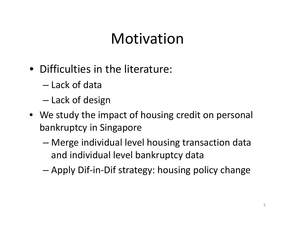# Motivation

- Difficulties in the literature:
	- Lack of data
	- –— Lack of design
- We study the impact of housing credit on personal bankruptcy in Singapore
	- – Merge individual level housing transaction data and individual level bankruptcy data
	- –Apply Dif‐in‐Dif strategy: housing policy change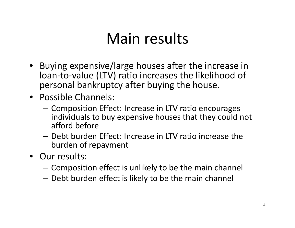# Main results

- Buying expensive/large houses after the increase in loan‐to‐value (LTV) ratio increases the likelihood of personal bankruptcy after buying the house.
- Possible Channels:
	- – $-$  Composition Effect: Increase in LTV ratio encourages individuals to buy expensive houses that they could not afford before
	- Debt burden Effect: Increase in LTV ratio increase the burden of repayment
- Our results:
	- $-$  Composition effect is unlikely to be the main channel
	- $-$  Debt burden effect is likely to be the main channel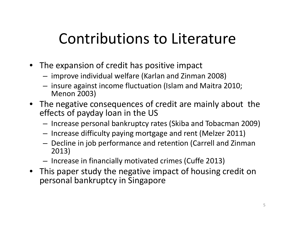# Contributions to Literature

- The expansion of credit has positive impact
	- – $-$  improve individual welfare (Karlan and Zinman 2008)
	- – $-$  insure against income fluctuation (Islam and Maitra 2010;  $\,$ Menon 2003)
- The negative consequences of credit are mainly about the effects of payday loan in the US
	- $-$  Increase personal bankruptcy rates (Skiba and Tobacman 2009)
	- – $-$  Increase difficulty paying mortgage and rent (Melzer 2011)
	- – $-$  Decline in job performance and retention (Carrell and Zinman 2013)
	- – $-$  Increase in financially motivated crimes (Cuffe 2013)
- This paper study the negative impact of housing credit on personal bankruptcy in Singapore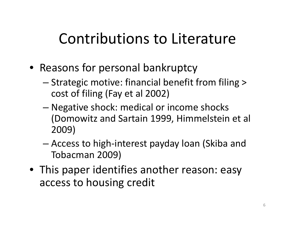# Contributions to Literature

- Reasons for personal bankruptcy
	- Strategic motive: financial benefit from filing <sup>&</sup>gt; cost of filing (Fay et al 2002)
	- – Negative shock: medical or income shocks (Domowitz and Sartain 1999, Himmelstein et al 2009)
	- – Access to high‐interest payday loan (Skiba and Tobacman 2009)
- This paper identifies another reason: easy access to housing credit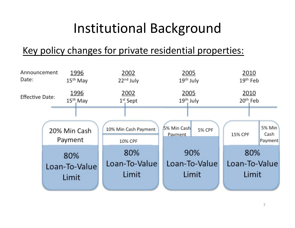### Institutional Background

#### Key policy changes for private residential properties:

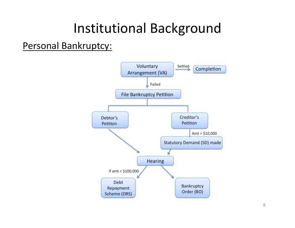### Institutional Background

Personal Bankruptcy:

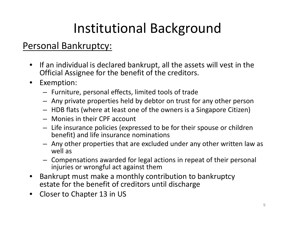# Institutional Background

#### Personal Bankruptcy:

- If an individual is declared bankrupt, all the assets will vest in the Official Assignee for the benefit of the creditors.
- $\bullet$  Exemption:
	- Furniture, personal effects, limited tools of trade
	- Any private properties held by debtor on trust for any other person
	- HDB flats (where at least one of the owners is <sup>a</sup> Singapore Citizen)
	- Monies in their CPF account
	- Life insurance policies (expressed to be for their spouse or children benefit) and life insurance nominations
	- Any other properties that are excluded under any other written law as well as
	- Compensations awarded for legal actions in repeat of their personal injuries or wrongful act against them
- $\bullet$  Bankrupt must make <sup>a</sup> monthly contribution to bankruptcy estate for the benefit of creditors until discharge
- $\bullet$ • Closer to Chapter 13 in US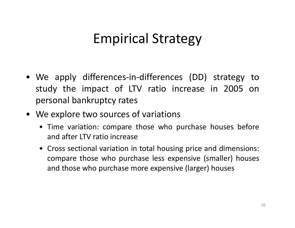### Empirical Strategy

- We apply differences‐in‐differences (DD) strategy to study the impact of LTV ratio increase in 2005 on personal bankruptcy rates
- We explore two sources of variations
	- Time variation: compare those who purchase houses before and after LTV ratio increase
	- Cross sectional variation in total housing price and dimensions: compare those who purchase less expensive (smaller) houses and those who purchase more expensive (larger) houses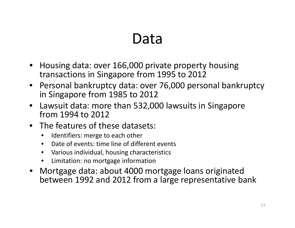## Data

- Housing data: over 166,000 private property housing transactions in Singapore from 1995 to 2012
- Personal bankruptcy data: over 76,000 personal bankruptcy in Singapore from 1985 to 2012
- Lawsuit data: more than 532,000 lawsuits in Singapore from 1994 to 2012
- The features of these datasets:
	- •Identifiers: merge to each other
	- $\bullet$ Date of events: time line of different events
	- $\bullet$ Various individual, housing characteristics
	- •**•** Limitation: no mortgage information
- Mortgage data: about 4000 mortgage loans originated between 1992 and 2012 from <sup>a</sup> large representative bank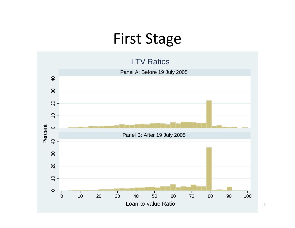### First Stage

#### LTV Ratios



12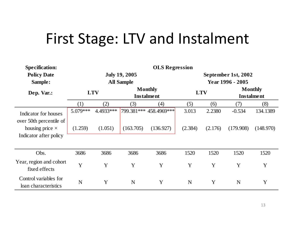# First Stage: LTV and Instalment

| <b>Specification:</b>                           | <b>OLS Regression</b> |           |                                           |                                     |                                         |            |                                     |           |  |
|-------------------------------------------------|-----------------------|-----------|-------------------------------------------|-------------------------------------|-----------------------------------------|------------|-------------------------------------|-----------|--|
| <b>Policy Date</b><br>Sample:                   |                       |           | <b>July 19, 2005</b><br><b>All Sample</b> |                                     | September 1st, 2002<br>Year 1996 - 2005 |            |                                     |           |  |
| Dep. Var.:                                      | <b>LTV</b>            |           |                                           | <b>Monthly</b><br><b>Instalment</b> |                                         | <b>LTV</b> | <b>Monthly</b><br><b>Instalment</b> |           |  |
|                                                 | (1)                   | (2)       | (3)                                       | (4)                                 | (5)                                     | (6)        | (7)                                 | (8)       |  |
| Indicator for houses<br>over 50th percentile of | 5.079***              | 4.4933*** |                                           | 799.381*** 458.4969***              | 3.013                                   | 2.2380     | $-0.534$                            | 134.1389  |  |
| housing price $\times$                          | (1.259)               | (1.051)   | (163.705)                                 | (136.927)                           | (2.384)                                 | (2.176)    | (179.908)                           | (148.970) |  |
| Indicator after policy                          |                       |           |                                           |                                     |                                         |            |                                     |           |  |
| Obs.                                            | 3686                  | 3686      | 3686                                      | 3686                                | 1520                                    | 1520       | 1520                                | 1520      |  |
| Year, region and cohort<br>fixed effects        | Y                     | Y         | Y                                         | Y                                   | Y                                       | Y          | Y                                   | Y         |  |
| Control variables for<br>loan characteristics   | N                     | Y         | N                                         | Y                                   | N                                       | Y          | N                                   | Y         |  |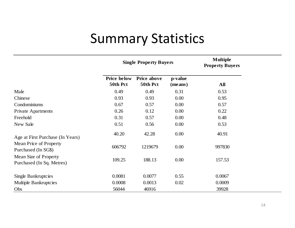### Summary Statistics

|                                                    |                                | <b>Single Property Buyers</b>  | <b>Multiple</b><br><b>Property Buyers</b> |        |
|----------------------------------------------------|--------------------------------|--------------------------------|-------------------------------------------|--------|
|                                                    | <b>Price below</b><br>50th Pct | <b>Price above</b><br>50th Pct | p-value<br>(means)                        | All    |
| Male                                               | 0.49                           | 0.49                           | 0.31                                      | 0.53   |
| Chinese                                            | 0.93                           | 0.93                           | 0.00                                      | 0.95   |
| Condominiums                                       | 0.67                           | 0.57                           | 0.00                                      | 0.57   |
| <b>Private Apartments</b>                          | 0.26                           | 0.12                           | 0.00                                      | 0.22   |
| Freehold                                           | 0.31                           | 0.57                           | 0.00                                      | 0.48   |
| New Sale                                           | 0.51                           | 0.56                           | 0.00                                      | 0.53   |
| Age at First Purchase (In Years)                   | 40.20                          | 42.28                          | 0.00                                      | 40.91  |
| Mean Price of Property<br>Purchased (In SG\$)      | 606792                         | 1219679                        | 0.00                                      | 997830 |
| Mean Size of Property<br>Purchased (In Sq. Metres) | 109.25                         | 188.13                         | 0.00                                      | 157.53 |
| Single Bankruptcies                                | 0.0081                         | 0.0077                         | 0.55                                      | 0.0067 |
| <b>Multiple Bankruptcies</b>                       | 0.0008                         | 0.0013                         | 0.02                                      | 0.0009 |
| Obs                                                | 56044                          | 46916                          |                                           | 39928  |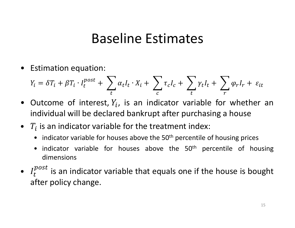### Baseline Estimates

• Estimation equation:

$$
Y_i = \delta T_i + \beta T_i \cdot I_t^{post} + \sum_t \alpha_t I_t \cdot X_i + \sum_c \tau_c I_c + \sum_t \gamma_t I_t + \sum_r \varphi_r I_r + \varepsilon_{it}
$$

- Outcome of interest,  $Y_i$ , is an indicator variable for whether an individual will be declared bankrupt after purchasing <sup>a</sup> house
- $\bullet$   $\ T_i$  is an indicator variable for the treatment index:
	- indicator variable for houses above the 50<sup>th</sup> percentile of housing prices
	- indicator variable for houses above the 50<sup>th</sup> percentile of housing dimensions
- • $I_t^{post}$  is an indicator variable that equals one if the house is bought after policy change.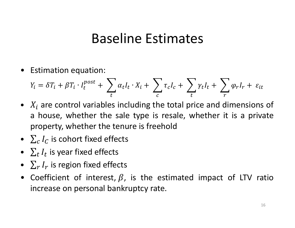#### Baseline Estimates

 $\bullet$ Estimation equation:

$$
Y_i = \delta T_i + \beta T_i \cdot I_t^{post} + \sum_t \alpha_t I_t \cdot X_i + \sum_c \tau_c I_c + \sum_t \gamma_t I_t + \sum_r \varphi_r I_r + \varepsilon_{it}
$$

- $X_i$  are control variables including the total price and dimensions of <sup>a</sup> house, whether the sale type is resale, whether it is <sup>a</sup> private property, whether the tenure is freehold
- $\sum_{c} I_c$  is cohort fixed effects
- $\sum_t I_t$  is year fixed effects
- $\sum_{r} I_r$  is region fixed effects
- Coefficient of interest,  $\beta$ , is the estimated impact of LTV ratio increase on personal bankruptcy rate.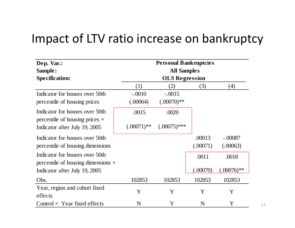#### Impact of LTV ratio increase on bankruptcy

| Dep. Var.:                                                              | <b>Personal Bankruptcies</b> |                |          |              |  |  |  |  |  |
|-------------------------------------------------------------------------|------------------------------|----------------|----------|--------------|--|--|--|--|--|
| Sample:                                                                 | <b>All Samples</b>           |                |          |              |  |  |  |  |  |
| <b>Specification:</b>                                                   | <b>OLS Regression</b>        |                |          |              |  |  |  |  |  |
|                                                                         | (1)                          | (2)            | (3)      | (4)          |  |  |  |  |  |
| Indicator for houses over 50th                                          | $-.0010$                     | $-.0015$       |          |              |  |  |  |  |  |
| percentile of housing prices                                            | (.00064)                     | $(.00070)**$   |          |              |  |  |  |  |  |
| Indicator for houses over 50th<br>percentile of housing prices $\times$ | .0015                        | .0020          |          |              |  |  |  |  |  |
| Indicator after July 19, 2005                                           | $(.00071)$ **                | $(.00075)$ *** |          |              |  |  |  |  |  |
| Indicator for houses over 50th                                          |                              |                | .00013   | $-.00087$    |  |  |  |  |  |
| percentile of housing dimensions                                        |                              |                | (.00071) | (.00063)     |  |  |  |  |  |
| Indicator for houses over 50th                                          |                              |                | .0011    | .0018        |  |  |  |  |  |
| percentile of housing dimensions $\times$                               |                              |                |          |              |  |  |  |  |  |
| Indicator after July 19, 2005                                           |                              |                | (.00070) | $(.00076)**$ |  |  |  |  |  |
| Obs.                                                                    | 102853                       | 102853         | 102853   | 102853       |  |  |  |  |  |
| Year, region and cohort fixed                                           | Y                            | Y              | Y        | Y            |  |  |  |  |  |
| effects                                                                 |                              |                |          |              |  |  |  |  |  |
| Control $\times$ Year fixed effects                                     | N                            | Y              | N        | Y            |  |  |  |  |  |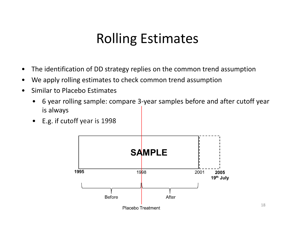### Rolling Estimates

- •The identification of DD strategy replies on the common trend assumption
- •We apply rolling estimates to check common trend assumption
- • Similar to Placebo Estimates
	- $\bullet$  6 year rolling sample: compare 3‐year samples before and after cutoff year is always
	- $\bullet$ E.g. if cutoff year is 1998

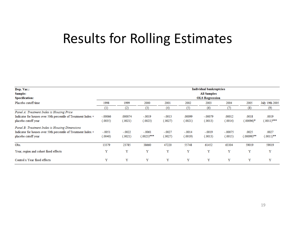### Results for Rolling Estimates

| Dep. Var.:                                                     | <b>Individual bankruptcies</b> |          |               |          |          |           |           |               |                |  |  |
|----------------------------------------------------------------|--------------------------------|----------|---------------|----------|----------|-----------|-----------|---------------|----------------|--|--|
| Sample:                                                        | <b>All Samples</b>             |          |               |          |          |           |           |               |                |  |  |
| <b>Specification:</b>                                          | <b>OLS Regression</b>          |          |               |          |          |           |           |               |                |  |  |
| Placebo cutoff time                                            | 1998                           | 1999     | 2000          | 2001     | 2002     | 2003      | 2004      | 2005          | July 19th 2005 |  |  |
|                                                                | (1)                            | (2)      | (3)           | (4)      | (5)      | (6)       | (7)       | (8)           | (9)            |  |  |
| Panel A: Treatment Index is Housing Price                      |                                |          |               |          |          |           |           |               |                |  |  |
| Indicator for houses over 50th percentile of Treatment Index × | $-.00066$                      | .000074  | $-.0019$      | $-.0013$ | .00099   | $-.00079$ | .00012    | .0018         | .0019          |  |  |
| placebo cutoff year                                            | (.0035)                        | (.0021)  | (.0023)       | (.0027)  | (.0021)  | (.0013)   | (.0014)   | $(.00096)^*$  | $(.0011)$ ***  |  |  |
| Panel B: Treatment Index is Housing Dimensions                 |                                |          |               |          |          |           |           |               |                |  |  |
| Indicator for houses over 50th percentile of Treatment Index × | $-.0051$                       | $-.0022$ | $-.0061$      | $-.0027$ | $-.0014$ | $-.0019$  | $-.00075$ | .0025         | .0027          |  |  |
| placebo cutoff year                                            | (.0040)                        | (.0021)  | $(.0023)$ *** | (.0027)  | (.0019)  | (.0013)   | (.0015)   | $(.00099)$ ** | $(.0011)$ **   |  |  |
| Obs.                                                           | 13379                          | 23785    | 38660         | 47220    | 55748    | 61452     | 63304     | 59019         | 59019          |  |  |
| Year, region and cohort fixed effects                          | Y                              | Y        | Y             | Y        | Y        | Y         | Y         | Y             | Y              |  |  |
| Control x Year fixed effects                                   | Y                              | Y        | Y             | Y        | Y        | Y         | Y         | Y             | Y              |  |  |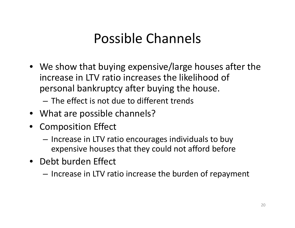### Possible Channels

• We show that buying expensive/large houses after the increase in LTV ratio increases the likelihood of personal bankruptcy after buying the house.

– The effect is not due to different trends

- What are possible channels?
- Composition Effect
	- Increase in LTV ratio encourages individuals to buy expensive houses that they could not afford before
- Debt burden Effect
	- Increase in LTV ratio increase the burden of repayment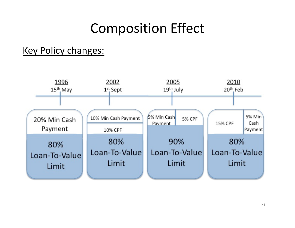### Composition Effect

#### Key Policy changes:

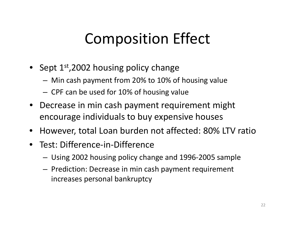# Composition Effect

- Sept  $1^\text{st}$ ,2002 housing policy change
	- –Min cash payment from 20% to 10% of housing value
	- CPF can be used for 10% of housing value
- $\bullet$  Decrease in min cash payment requirement might encourage individuals to buy expensive houses
- •However, total Loan burden not affected: 80% LTV ratio
- Test: Difference‐in‐Difference
	- –Using 2002 housing policy change and 1996‐2005 sample
	- – $-$  Prediction: Decrease in min cash payment requirement increases personal bankruptcy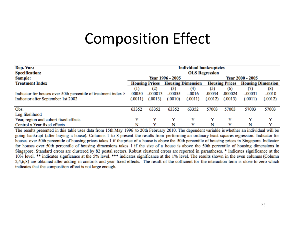### Composition Effect

| Dep. Var.:                                                     | <b>Individual bankruptcies</b> |                       |                  |                          |                         |                       |           |                          |  |  |  |
|----------------------------------------------------------------|--------------------------------|-----------------------|------------------|--------------------------|-------------------------|-----------------------|-----------|--------------------------|--|--|--|
| <b>Specification:</b>                                          |                                | <b>OLS Regression</b> |                  |                          |                         |                       |           |                          |  |  |  |
| Sample:                                                        |                                |                       | Year 1996 - 2005 |                          | <b>Year 2000 - 2005</b> |                       |           |                          |  |  |  |
| <b>Treatment Index</b>                                         |                                | <b>Housing Prices</b> |                  | <b>Housing Dimension</b> |                         | <b>Housing Prices</b> |           | <b>Housing Dimension</b> |  |  |  |
|                                                                | $\scriptstyle{(1)}$            | $\left( 2\right)$     | (3)              | (4)                      | (5)                     | (6)                   |           | (8)                      |  |  |  |
| Indicator for houses over 50th percentile of treatment index × | .00050                         | $-.000013$            | $-.00055$        | $-.0016$                 | .00034                  | .000024               | $-.00031$ | $-.0010$                 |  |  |  |
| Indicator after September 1st 2002                             | (.0011)                        | (.0013)               | (.0010)          | (.0011)                  | (.0012)                 | (.0013)               | (.0011)   | (.0012)                  |  |  |  |
| Obs.                                                           | 63352                          | 63352                 | 63352            | 63352                    | 57003                   | 57003                 | 57003     | 57003                    |  |  |  |
| Log likelihood                                                 |                                |                       |                  |                          |                         |                       |           |                          |  |  |  |
| Year, region and cohort fixed effects                          | Y                              | Y                     | Y                | Y                        | Y                       | v                     | Y         | v                        |  |  |  |
| Control x Year fixed effects                                   | N                              | v                     | N                | v                        | N                       |                       | N         | v                        |  |  |  |

The results presented in this table uses data from 15th May 1996 to 20th February 2010. The dependent variable is whether an individual will be going bankrupt (after buying a house). Columns 1 to 8 present the results from performing an ordinary least squares regression. Indicator for houses over 50th percentile of housing prices takes 1 if the price of a house is above the 50th percentile of housing prices in Singapore. Indicator for houses over 50th percentile of housing dimensions takes 1 if the size of a house is above the 50th percentile of housing dimensions in Singapore. Standard errors are clustered by 82 postal sectors. Robust clustered errors are reported in parantheses. \* indicates significance at the 10% level. \*\* indicates signficance at the 5% level. \*\*\* indicates significance at the 1% level. The results shown in the even columns (Column 2,4,6,8) are obtained after adding in controls and year fixed effects. The result of the cofficient for the interaction term is close to zero which indicates that the composition effect is not large enough.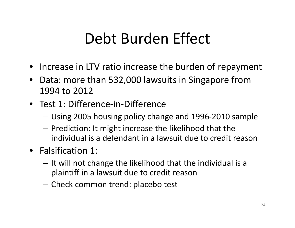- Increase in LTV ratio increase the burden of repayment
- Data: more than 532,000 lawsuits in Singapore from 1994 to 2012
- Test 1: Difference‐in‐Difference
	- –Using 2005 housing policy change and 1996‐2010 sample
	- $-$  Prediction: It might increase the likelihood that the individual is a defendant in <sup>a</sup> lawsuit due to credit reason
- Falsification 1:
	- $-$  It will not change the likelihood that the individual is a plaintiff in <sup>a</sup> lawsuit due to credit reason
	- $-$  Check common trend: placebo test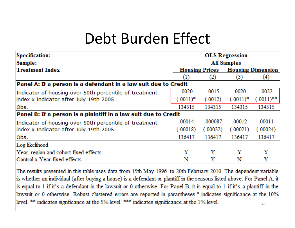| <b>Specification:</b>                                           | <b>OLS Regression</b> |                       |             |                          |  |  |  |  |
|-----------------------------------------------------------------|-----------------------|-----------------------|-------------|--------------------------|--|--|--|--|
| Sample:                                                         | <b>All Samples</b>    |                       |             |                          |  |  |  |  |
| <b>Treatment Index</b>                                          |                       | <b>Housing Prices</b> |             | <b>Housing Dimension</b> |  |  |  |  |
|                                                                 | $\left(1\right)$      | $\left( 2\right)$     | (3)         | (4)                      |  |  |  |  |
| Panel A: If a person is a defendant in a law suit due to Credit |                       |                       |             |                          |  |  |  |  |
| Indicator of housing over 50th percentile of treatment          | .0020                 | .0015                 | .0020       | .0022                    |  |  |  |  |
| index x Indicator after July 19th 2005                          | $(.0011)^*$           | (.0012)               | $(.0011)^*$ | $(.0011)$ **             |  |  |  |  |
| Obs.                                                            | 134315                | 134315                | 134315      | 134315                   |  |  |  |  |
| Panel B: If a person is a plaintiff in a law suit due to Credit |                       |                       |             |                          |  |  |  |  |
| Indicator of housing over 50th percentile of treatment          | .00014                | .000087               | .00012      | .00011                   |  |  |  |  |
| index x Indicator after July 19th 2005                          | (.00018)              | (.00022)              | (.00021)    | (.00024)                 |  |  |  |  |
| Obs.                                                            | 136417                | 136417                | 136417      | 136417                   |  |  |  |  |
| Log likelihood                                                  |                       |                       |             |                          |  |  |  |  |
| Year, region and cohort fixed effects                           | Y                     | Y                     | Y           | Y                        |  |  |  |  |
| Control x Year fixed effects                                    | N                     | Y                     | N           | Y                        |  |  |  |  |

The results presented in this table uses data from 15th May 1996 to 20th February 2010. The dependent variable is whether an individual (after buying a house) is a defendant or plantiff in the reasons listed above. For Panel A, it is equal to 1 if it's a defendant in the lawsuit or 0 otherwise. For Panel B, it is equal to 1 if it's a plantiff in the lawsuit or 0 otherwise. Robust clustered errors are reported in parantheses.\* indicates significance at the 10% level. \*\* indicates significance at the 5% level. \*\*\* indicates significance at the 1% level.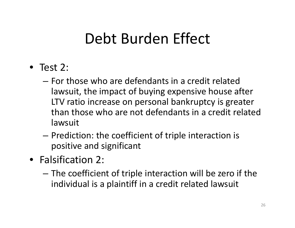- Test 2:
	- For those who are defendants in <sup>a</sup> credit related lawsuit, the impact of buying expensive house after LTV ratio increase on personal bankruptcy is greater than those who are not defendants in <sup>a</sup> credit related lawsuit
	- – $-$  Prediction: the coefficient of triple interaction is positive and significant
- Falsification 2:
	- – The coefficient of triple interaction will be zero if the individual is a plaintiff in <sup>a</sup> credit related lawsuit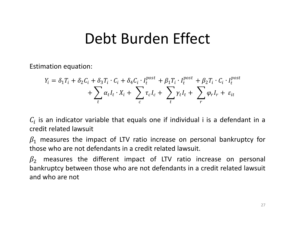Estimation equation:

$$
Y_i = \delta_1 T_i + \delta_2 C_i + \delta_3 T_i \cdot C_i + \delta_4 C_i \cdot I_t^{post} + \beta_1 T_i \cdot I_t^{post} + \beta_2 T_i \cdot C_i \cdot I_t^{post} + \sum_t \alpha_t I_t \cdot X_i + \sum_c \tau_c I_c + \sum_t \gamma_t I_t + \sum_r \varphi_r I_r + \varepsilon_{it}
$$

 $\mathcal{C}_{\boldsymbol{t}}$  is an indicator variable that equals one if individual i is a defendant in a credit related lawsuit

 $\beta_1$  measures the impact of LTV ratio increase on personal bankruptcy for those who are not defendants in <sup>a</sup> credit related lawsuit.

 $\beta_2$  measures the different impact of LTV ratio increase on personal bankruptcy between those who are not defendants in <sup>a</sup> credit related lawsuit and who are not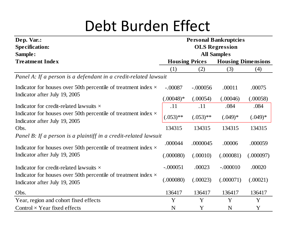| Dep. Var.:                                                                                             | <b>Personal Bankruptcies</b> |             |            |                           |  |  |  |  |  |
|--------------------------------------------------------------------------------------------------------|------------------------------|-------------|------------|---------------------------|--|--|--|--|--|
| <b>Specification:</b>                                                                                  | <b>OLS Regression</b>        |             |            |                           |  |  |  |  |  |
| Sample:                                                                                                | <b>All Samples</b>           |             |            |                           |  |  |  |  |  |
| <b>Treatment Index</b>                                                                                 | <b>Housing Prices</b>        |             |            | <b>Housing Dimensions</b> |  |  |  |  |  |
|                                                                                                        | (1)                          | (2)         | (3)        | (4)                       |  |  |  |  |  |
| Panel A: If a person is a defendant in a credit-related lawsuit                                        |                              |             |            |                           |  |  |  |  |  |
| Indicator for houses over 50th percentile of treatment index $\times$                                  | $-.00087$                    | $-.000056$  | .00011     | .00075                    |  |  |  |  |  |
| Indicator after July 19, 2005                                                                          | $(.00048)*$                  | (.00054)    | (.00046)   | (.00058)                  |  |  |  |  |  |
| Indicator for credit-related lawsuits $\times$                                                         | .11                          | .11         | .084       | .084                      |  |  |  |  |  |
| Indicator for houses over 50th percentile of treatment index $\times$<br>Indicator after July 19, 2005 | $(.053)$ **                  | $(.053)$ ** | $(.049)*$  | $(.049)*$                 |  |  |  |  |  |
| Obs.                                                                                                   | 134315                       | 134315      | 134315     | 134315                    |  |  |  |  |  |
| Panel B: If a person is a plaintiff in a credit-related lawsuit                                        |                              |             |            |                           |  |  |  |  |  |
| Indicator for houses over 50th percentile of treatment index $\times$                                  | .000044                      | .0000045    | .00006     | .000059                   |  |  |  |  |  |
| Indicator after July 19, 2005                                                                          | (.000080)                    | (.00010)    | (.000081)  | (.000097)                 |  |  |  |  |  |
| Indicator for credit-related lawsuits $\times$                                                         | $-.000051$                   | .00023      | $-.000010$ | .00020                    |  |  |  |  |  |
| Indicator for houses over 50th percentile of treatment index $\times$<br>Indicator after July 19, 2005 | (.000080)                    | (.00023)    | (.000071)  | (.00021)                  |  |  |  |  |  |
| Obs.                                                                                                   | 136417                       | 136417      | 136417     | 136417                    |  |  |  |  |  |
| Year, region and cohort fixed effects                                                                  | Y                            | Y           | Y          | Y                         |  |  |  |  |  |
| Control $\times$ Year fixed effects                                                                    | N                            | Y           | N          | Y                         |  |  |  |  |  |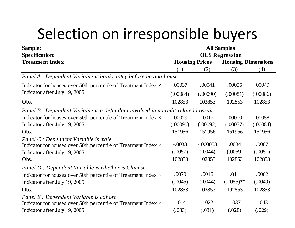# Selection on irresponsible buyers

| Sample:                                                                          | <b>All Samples</b>    |                       |                           |          |  |  |  |
|----------------------------------------------------------------------------------|-----------------------|-----------------------|---------------------------|----------|--|--|--|
| <b>Specification:</b>                                                            | <b>OLS Regression</b> |                       |                           |          |  |  |  |
| <b>Treatment Index</b>                                                           |                       | <b>Housing Prices</b> | <b>Housing Dimensions</b> |          |  |  |  |
|                                                                                  | (1)                   | (2)                   | (3)                       | (4)      |  |  |  |
| Panel A : Dependent Variable is bankruptcy before buying house                   |                       |                       |                           |          |  |  |  |
| Indicator for houses over 50th percentile of Treatment Index $\times$            | .00037                | .00041                | .00055                    | .00049   |  |  |  |
| Indicator after July 19, 2005                                                    | (.00084)              | (.00090)              | (.00081)                  | (.00086) |  |  |  |
| Obs.                                                                             | 102853                | 102853                | 102853                    | 102853   |  |  |  |
| Panel B : Dependent Variable is a defendant involved in a credit-related lawsuit |                       |                       |                           |          |  |  |  |
| Indicator for houses over 50th percentile of Treatment Index $\times$            | .00029                | .0012                 | .00010                    | .00058   |  |  |  |
| Indicator after July 19, 2005                                                    | (.00090)              | (.00092)              | (.00077)                  | (.00084) |  |  |  |
| Obs.                                                                             | 151956                | 151956                | 151956                    | 151956   |  |  |  |
| Panel C : Dependent Variable is male                                             |                       |                       |                           |          |  |  |  |
| Indicator for houses over 50th percentile of Treatment Index $\times$            | $-.0033$              | $-.000053$            | .0034                     | .0067    |  |  |  |
| Indicator after July 19, 2005                                                    | (.0057)               | (.0044)               | (.0059)                   | (.0051)  |  |  |  |
| Obs.                                                                             | 102853                | 102853                | 102853                    | 102853   |  |  |  |
| Panel D : Dependent Variable is whether is Chinese                               |                       |                       |                           |          |  |  |  |
| Indicator for houses over 50th percentile of Treatment Index $\times$            | .0070                 | .0016                 | .011                      | .0062    |  |  |  |
| Indicator after July 19, 2005                                                    | (.0045)               | (.0044)               | $(.0055)$ **              | (.0049)  |  |  |  |
| Obs.                                                                             | 102853                | 102853                | 102853                    | 102853   |  |  |  |
| Panel E : Dependent Variable is cohort                                           |                       |                       |                           |          |  |  |  |
| Indicator for houses over 50th percentile of Treatment Index $\times$            | $-.014$               | $-.022$               | $-.037$                   | $-.043$  |  |  |  |
| Indicator after July 19, 2005                                                    | (.033)                | (.031)                | (.028)                    | (.029)   |  |  |  |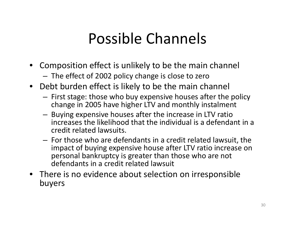# Possible Channels

- • Composition effect is unlikely to be the main channel
	- – $-$  The effect of 2002 policy change is close to zero
- Debt burden effect is likely to be the main channel
	- – $-$  First stage: those who buy expensive houses after the policy change in 2005 have higher LTV and monthly instalment
	- $-$  Buying expensive houses after the increase in LTV ratio increases the likelihood that the individual is <sup>a</sup> defendant in <sup>a</sup> credit related lawsuits.
	- – $-$  For those who are defendants in a credit related lawsuit, the impact of buying expensive house after LTV ratio increase on personal bankruptcy is greater than those who are not defendants in <sup>a</sup> credit related lawsuit
- There is no evidence about selection on irresponsible buyers